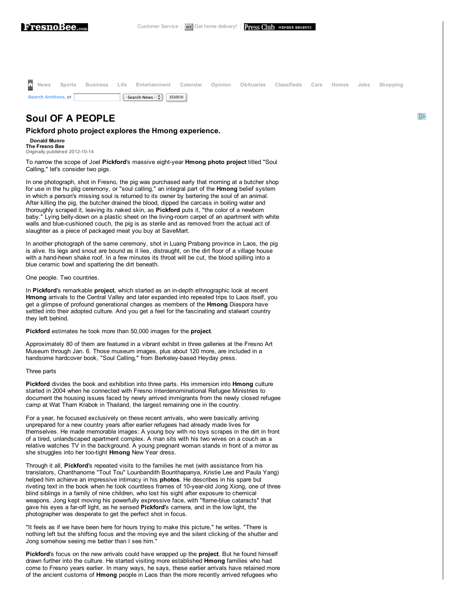|                     |  | Thews Sports Business Life Entertainment Calendar Opinion Obituaries Classifieds Cars Homes Jobs Shopping |  |  |  |  |
|---------------------|--|-----------------------------------------------------------------------------------------------------------|--|--|--|--|
| Search Archives, or |  | Search News $\frac{4}{x}$ SEARCH                                                                          |  |  |  |  |

 $\triangleright$ 

## **Soul OF A PEOPLE**

## **Pickford photo project explores the Hmong experience.**

**Donald Munro The Fresno Bee** Originally published 2012-10-14

To narrow the scope of Joel **Pickford**'s massive eightyear **Hmong photo project** titled "Soul Calling," let's consider two pigs.

In one photograph, shot in Fresno, the pig was purchased early that morning at a butcher shop for use in the hu plig ceremony, or "soul calling," an integral part of the **Hmong** belief system in which a person's missing soul is returned to its owner by bartering the soul of an animal. After killing the pig, the butcher drained the blood, dipped the carcass in boiling water and thoroughly scraped it, leaving its naked skin, as **Pickford** puts it, "the color of a newborn baby." Lying belly-down on a plastic sheet on the living-room carpet of an apartment with white walls and blue-cushioned couch, the pig is as sterile and as removed from the actual act of slaughter as a piece of packaged meat you buy at SaveMart.

In another photograph of the same ceremony, shot in Luang Prabang province in Laos, the pig is alive. Its legs and snout are bound as it lies, distraught, on the dirt floor of a village house with a hand-hewn shake roof. In a few minutes its throat will be cut, the blood spilling into a blue ceramic bowl and spattering the dirt beneath.

## One people. Two countries.

In Pickford's remarkable project, which started as an in-depth ethnographic look at recent **Hmong** arrivals to the Central Valley and later expanded into repeated trips to Laos itself, you get a glimpse of profound generational changes as members of the **Hmong** Diaspora have settled into their adopted culture. And you get a feel for the fascinating and stalwart country they left behind.

**Pickford** estimates he took more than 50,000 images for the **project**.

Approximately 80 of them are featured in a vibrant exhibit in three galleries at the Fresno Art Museum through Jan. 6. Those museum images, plus about 120 more, are included in a handsome hardcover book, "Soul Calling," from Berkeley-based Heyday press.

## Three parts

**Pickford** divides the book and exhibition into three parts. His immersion into **Hmong** culture started in 2004 when he connected with Fresno Interdenominational Refugee Ministries to document the housing issues faced by newly arrived immigrants from the newly closed refugee camp at Wat Tham Krabok in Thailand, the largest remaining one in the country.

For a year, he focused exclusively on these recent arrivals, who were basically arriving unprepared for a new country years after earlier refugees had already made lives for themselves. He made memorable images: A young boy with no toys scrapes in the dirt in front of a tired, unlandscaped apartment complex. A man sits with his two wives on a couch as a relative watches TV in the background. A young pregnant woman stands in front of a mirror as she struggles into her too-tight **Hmong** New Year dress.

Through it all, **Pickford**'s repeated visits to the families he met (with assistance from his translators, Chanthanome "Tout Tou" Lounbandith Bounthapanya, Kristie Lee and Paula Yang) helped him achieve an impressive intimacy in his **photos**. He describes in his spare but riveting text in the book when he took countless frames of 10-year-old Jong Xiong, one of three blind siblings in a family of nine children, who lost his sight after exposure to chemical weapons. Jong kept moving his powerfully expressive face, with "flameblue cataracts" that gave his eyes a far-off light, as he sensed **Pickford'**s camera, and in the low light, the photographer was desperate to get the perfect shot in focus.

"It feels as if we have been here for hours trying to make this picture," he writes. "There is nothing left but the shifting focus and the moving eye and the silent clicking of the shutter and Jong somehow seeing me better than I see him."

**Pickford**'s focus on the new arrivals could have wrapped up the **project**. But he found himself drawn further into the culture. He started visiting more established **Hmong** families who had come to Fresno years earlier. In many ways, he says, these earlier arrivals have retained more of the ancient customs of **Hmong** people in Laos than the more recently arrived refugees who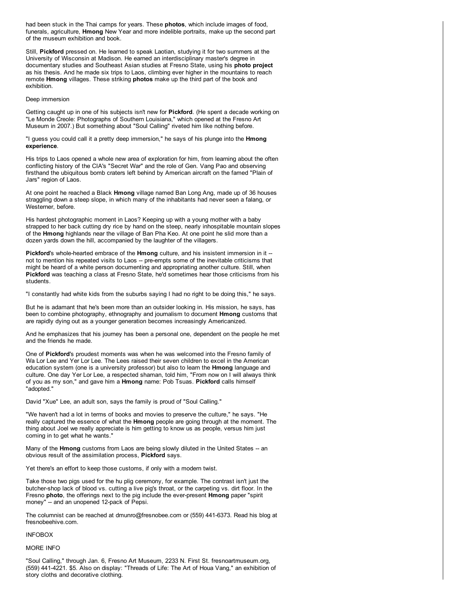had been stuck in the Thai camps for years. These **photos**, which include images of food, funerals, agriculture, **Hmong** New Year and more indelible portraits, make up the second part of the museum exhibition and book.

Still, **Pickford** pressed on. He learned to speak Laotian, studying it for two summers at the University of Wisconsin at Madison. He earned an interdisciplinary master's degree in documentary studies and Southeast Asian studies at Fresno State, using his **photo project** as his thesis. And he made six trips to Laos, climbing ever higher in the mountains to reach remote **Hmong** villages. These striking **photos** make up the third part of the book and exhibition.

Deep immersion

Getting caught up in one of his subjects isn't new for **Pickford**. (He spent a decade working on "Le Monde Creole: Photographs of Southern Louisiana," which opened at the Fresno Art Museum in 2007.) But something about "Soul Calling" riveted him like nothing before.

"I guess you could call it a pretty deep immersion," he says of his plunge into the **Hmong experience**.

His trips to Laos opened a whole new area of exploration for him, from learning about the often conflicting history of the CIA's "Secret War" and the role of Gen. Vang Pao and observing firsthand the ubiquitous bomb craters left behind by American aircraft on the famed "Plain of Jars" region of Laos.

At one point he reached a Black **Hmong** village named Ban Long Ang, made up of 36 houses straggling down a steep slope, in which many of the inhabitants had never seen a falang, or Westerner, before.

His hardest photographic moment in Laos? Keeping up with a young mother with a baby strapped to her back cutting dry rice by hand on the steep, nearly inhospitable mountain slopes of the **Hmong** highlands near the village of Ban Pha Keo. At one point he slid more than a dozen yards down the hill, accompanied by the laughter of the villagers.

Pickford's whole-hearted embrace of the Hmong culture, and his insistent immersion in it -not to mention his repeated visits to Laos -- pre-empts some of the inevitable criticisms that might be heard of a white person documenting and appropriating another culture. Still, when **Pickford** was teaching a class at Fresno State, he'd sometimes hear those criticisms from his students.

"I constantly had white kids from the suburbs saying I had no right to be doing this," he says.

But he is adamant that he's been more than an outsider looking in. His mission, he says, has been to combine photography, ethnography and journalism to document **Hmong** customs that are rapidly dying out as a younger generation becomes increasingly Americanized.

And he emphasizes that his journey has been a personal one, dependent on the people he met and the friends he made.

One of **Pickford**'s proudest moments was when he was welcomed into the Fresno family of Wa Lor Lee and Yer Lor Lee. The Lees raised their seven children to excel in the American education system (one is a university professor) but also to learn the **Hmong** language and culture. One day Yer Lor Lee, a respected shaman, told him, "From now on I will always think of you as my son," and gave him a **Hmong** name: Pob Tsuas. **Pickford** calls himself "adopted."

David "Xue" Lee, an adult son, says the family is proud of "Soul Calling."

"We haven't had a lot in terms of books and movies to preserve the culture," he says. "He really captured the essence of what the **Hmong** people are going through at the moment. The thing about Joel we really appreciate is him getting to know us as people, versus him just coming in to get what he wants."

Many of the **Hmong** customs from Laos are being slowly diluted in the United States -- an obvious result of the assimilation process, **Pickford** says.

Yet there's an effort to keep those customs, if only with a modern twist.

Take those two pigs used for the hu plig ceremony, for example. The contrast isn't just the butchershop lack of blood vs. cutting a live pig's throat, or the carpeting vs. dirt floor. In the Fresno **photo**, the offerings next to the pig include the everpresent **Hmong** paper "spirit money" -- and an unopened 12-pack of Pepsi.

The columnist can be reached at dmunro@fresnobee.com or (559) 4416373. Read his blog at fresnobeehive.com.

INFOBOX

MORE INFO

"Soul Calling," through Jan. 6, Fresno Art Museum, 2233 N. First St. fresnoartmuseum.org, (559) 4414221. \$5. Also on display: "Threads of Life: The Art of Houa Vang," an exhibition of story cloths and decorative clothing.